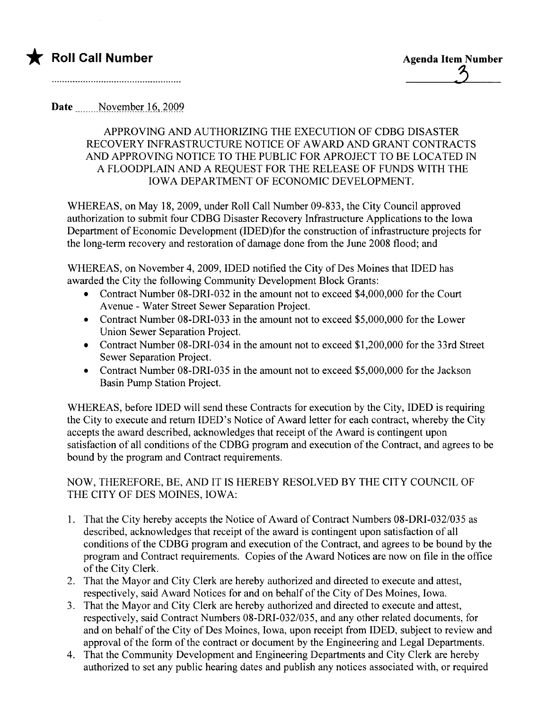

## Date Movember 16, 2009

## APPROVING AND AUTHORIZING THE EXECUTION OF CDBG DISASTER RECOVERY INFRASTRUCTURE NOTICE OF AWARD AND GRANT CONTRACTS AND APPROVING NOTICE TO THE PUBLIC FOR APROJECT TO BE LOCATED IN A FLOODPLAIN AND A REQUEST FOR THE RELEASE OF FUNDS WITH THE IOWA DEPARTMENT OF ECONOMIC DEVELOPMENT.

WHEREAS, on May 18, 2009, under Roll Call Number 09-833, the City Council approved authorization to submit four CDBG Disaster Recovery Infrastructure Applications to the Iowa Department of Economic Development (IDED)for the construction of infrastructure projects for the long-term recovery and restoration of damage done from the June 2008 flood; and

WHEREAS, on November 4,2009, IDED notified the City of Des Moines that IDED has awarded the City the following Community Development Block Grants:

- . Contract Number 08-DRI-032 in the amount not to exceed \$4,000,000 for the Court Avenue - Water Street Sewer Separation Project.
- . Contract Number 08-DRI-033 in the amount not to exceed \$5,000,000 for the Lower Union Sewer Separation Project.
- . Contract Number 08-DRI-034 in the amount not to exceed \$1,200,000 for the 33rd Street Sewer Separation Project.
- . Contract Number 08-DRI-035 in the amount not to exceed \$5,000,000 for the Jackson Basin Pump Station Project.

WHEREAS, before IDED will send these Contracts for execution by the City, IDED is requiring the City to execute and return IDED's Notice of Award letter for each contract, whereby the City accepts the award described, acknowledges that receipt of the A ward is contingent upon satisfaction of all conditions of the CDBG program and execution of the Contract, and agrees to be bound by the program and Contract requirements.

## NOW, THEREFORE, BE, AND IT is HEREBY RESOLVED BY THE CITY COUNCIL OF THE CITY OF DES MOINES, IOWA:

- 1. That the City hereby accepts the Notice of Award of Contract Numbers 08-DRI-032/035 as described, acknowledges that receipt of the award is contingent upon satisfaction of all conditions of the CDBG program and execution of the Contract, and agrees to be bound by the program and Contract requirements. Copies of the Award Notices are now on fie in the office of the City Clerk.
- 2. That the Mayor and City Clerk are hereby authorized and directed to execute and attest, respectively, said Award Notices for and on behalf of the City of Des Moines, Iowa.
- 3. That the Mayor and City Clerk are hereby authorized and directed to execute and attest, respectively, said Contract Numbers 08-DRI-032/035, and any other related documents, for and on behalf of the City of Des Moines, Iowa, upon receipt from IDED, subject to review and approval of the form of the contract or document by the Engineering and Legal Departments.
- 4. That the Community Development and Engineering Departments and City Clerk are hereby authorized to set any public hearing dates and publish any notices associated with, or required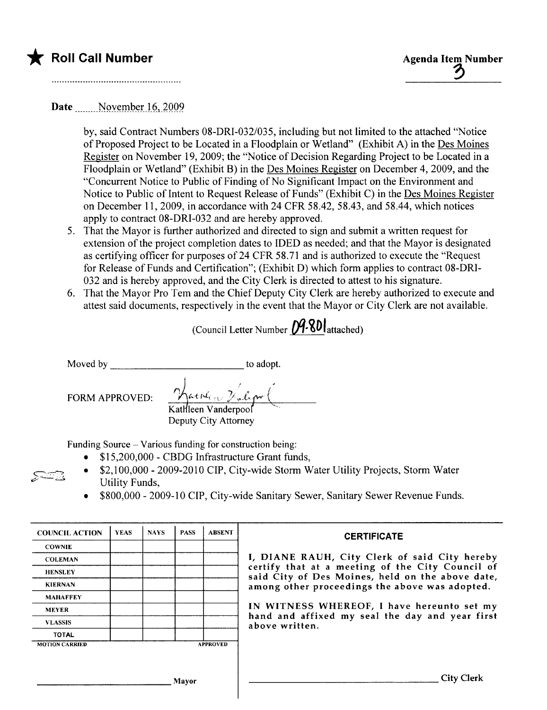

## Date Movember 16, 2009.

by, said Contract Numbers 08-DRI-032/035, including but not limited to the attached "Notice of Proposed Project to be Located in a Floodplain or Wetland" (Exhibit A) in the Des Moines Register on November 19, 2009; the "Notice of Decision Regarding Project to be Located in a Floodplain or Wetland" (Exhibit B) in the Des Moines Register on December 4,2009, and the "Concurrent Notice to Public of Finding of No Significant Impact on the Environment and Notice to Public of Intent to Request Release of Funds" (Exhibit C) in the Des Moines Register on December 11, 2009, in accordance with 24 CFR 58.42, 58.43, and 58.44, which notices apply to contract 08-DRI-032 and are hereby approved.

- 5. That the Mayor is further authorized and directed to sign and submit a written request for extension of the project completion dates to IDED as needed; and that the Mayor is designated as certifying officer for purposes of 24 CFR 58.71 and is authorized to execute the "Request" for Release of Funds and Certification"; (Exhibit D) which form applies to contract 08-DRI-032 and is hereby approved, and the City Clerk is directed to attest to his signature.
- 6. That the Mayor Pro Tem and the Chief Deputy City Clerk are hereby authorized to execute and attest said documents, respectively in the event that the Mayor or City Clerk are not available.

(Council Letter Number  $D9.80$  attached)

 $\mathcal{S}^{\text{in}}$  ,  $\mathbb{R}$ 

Moved by to adopt.

FORM APPROVED:

Hacken Folgar ( Kathleen Vanderpool Deputy City Attorney

Funding Source - Various funding for construction being:

- . \$ 1 5,200,000 CBDG Infrastructure Grant funds,
- . \$2,100,000 2009-2010 CIP, City-wide Storm Water Utility Projects, Storm Water Utility Funds,
- . \$800,000 2009-10 CIP, City-wide Sanitary Sewer, Sanitary Sewer Revenue Funds.

| <b>COUNCIL ACTION</b> | <b>YEAS</b> | <b>NAYS</b> | <b>PASS</b> | <b>ABSENT</b>   | <b>CERTIFICATE</b>                                                                                                                                                                                                                                                                                                         |
|-----------------------|-------------|-------------|-------------|-----------------|----------------------------------------------------------------------------------------------------------------------------------------------------------------------------------------------------------------------------------------------------------------------------------------------------------------------------|
| <b>COWNIE</b>         |             |             |             |                 | I, DIANE RAUH, City Clerk of said City hereby<br>certify that at a meeting of the City Council of<br>said City of Des Moines, held on the above date,<br>among other proceedings the above was adopted.<br>IN WITNESS WHEREOF, I have hereunto set my<br>hand and affixed my seal the day and year first<br>above written. |
| <b>COLEMAN</b>        |             |             |             |                 |                                                                                                                                                                                                                                                                                                                            |
| <b>HENSLEY</b>        |             |             |             |                 |                                                                                                                                                                                                                                                                                                                            |
| <b>KIERNAN</b>        |             |             |             |                 |                                                                                                                                                                                                                                                                                                                            |
| <b>MAHAFFEY</b>       |             |             |             |                 |                                                                                                                                                                                                                                                                                                                            |
| <b>MEYER</b>          |             |             |             |                 |                                                                                                                                                                                                                                                                                                                            |
| <b>VLASSIS</b>        |             |             |             |                 |                                                                                                                                                                                                                                                                                                                            |
| <b>TOTAL</b>          |             |             |             |                 |                                                                                                                                                                                                                                                                                                                            |
| <b>MOTION CARRIED</b> |             |             |             | <b>APPROVED</b> |                                                                                                                                                                                                                                                                                                                            |
|                       |             |             |             |                 |                                                                                                                                                                                                                                                                                                                            |
|                       |             |             | Mayor       |                 | City Clerk                                                                                                                                                                                                                                                                                                                 |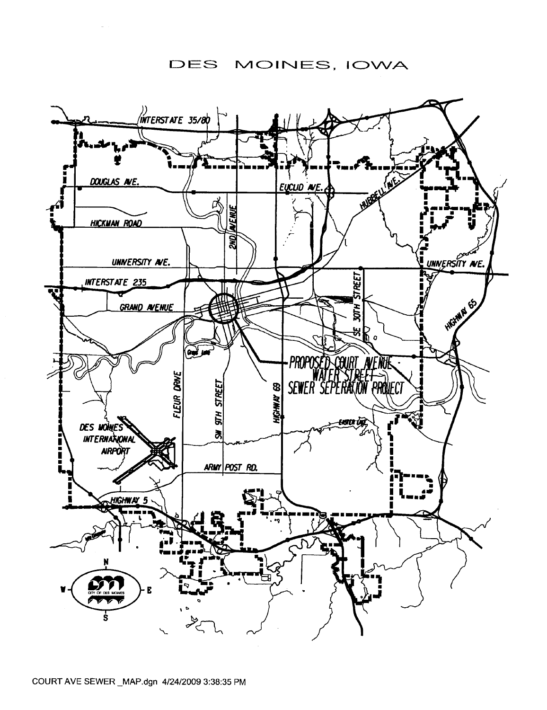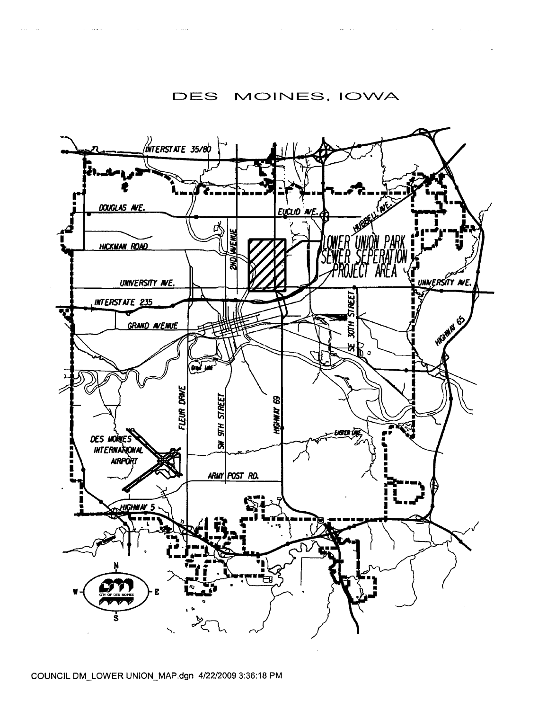

 $\omega_{\rm{eff}}=0.01$ 

 $\mathcal{A}(\mathbf{w})$  , and  $\mathcal{A}(\mathbf{w})$  , and  $\mathcal{A}(\mathbf{w})$  ,  $\mathcal{A}(\mathbf{w})$ 

 $\label{eq:2.1} \mathcal{L}(\mathcal{A}) = \mathcal{L}(\mathcal{A}) = \mathcal{L}(\mathcal{A}) = \mathcal{L}(\mathcal{A})$ 

 $\mathcal{O}(\mathcal{O}_\mathcal{O})$  is a mass of the set of  $\mathcal{O}_\mathcal{O}(\mathcal{O}_\mathcal{O})$  . The set of the set of  $\mathcal{O}_\mathcal{O}$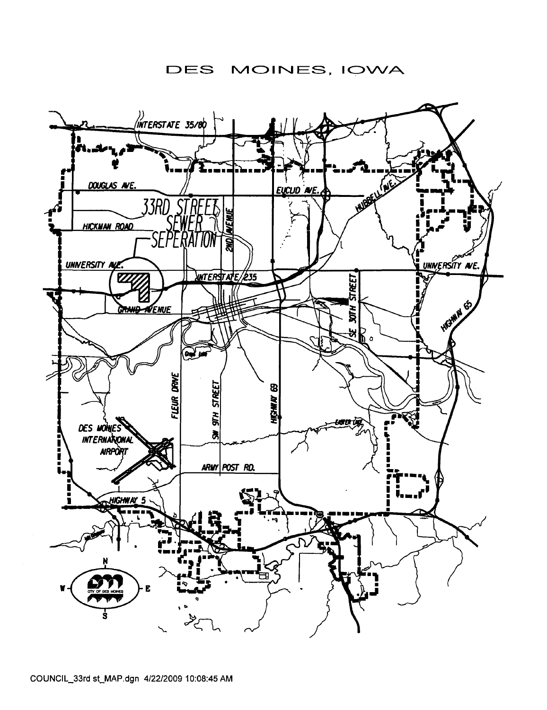